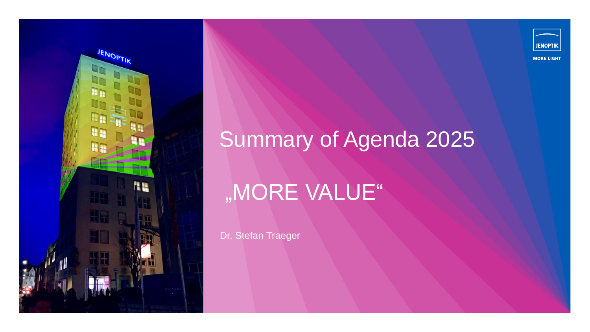



## Summary of Agenda 2025

# "MORE VALUE"

Dr. Stefan Traeger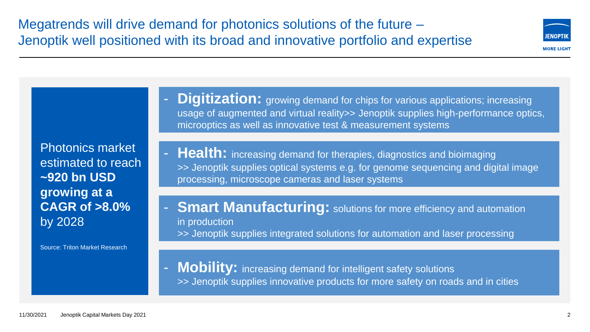Photonics market estimated to reach **~920 bn USD growing at a CAGR of >8.0%** by 2028

Source: Triton Market Research

**Digitization:** growing demand for chips for various applications; increasing usage of augmented and virtual reality>> Jenoptik supplies high-performance optics, microoptics as well as innovative test & measurement systems

- **Health:** increasing demand for therapies, diagnostics and bioimaging >> Jenoptik supplies optical systems e.g. for genome sequencing and digital image processing, microscope cameras and laser systems

**Smart Manufacturing:** solutions for more efficiency and automation in production >> Jenoptik supplies integrated solutions for automation and laser processing

**Mobility:** increasing demand for intelligent safety solutions >> Jenoptik supplies innovative products for more safety on roads and in cities



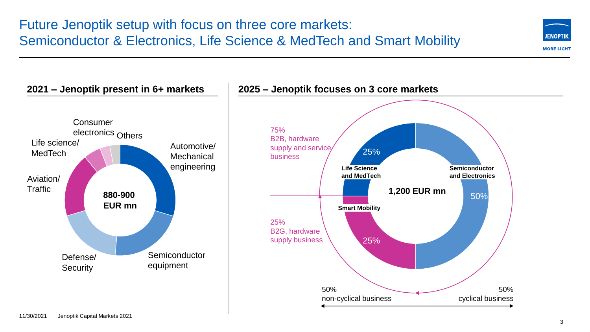



#### 11/30/2021 Jenoptik Capital Markets 2021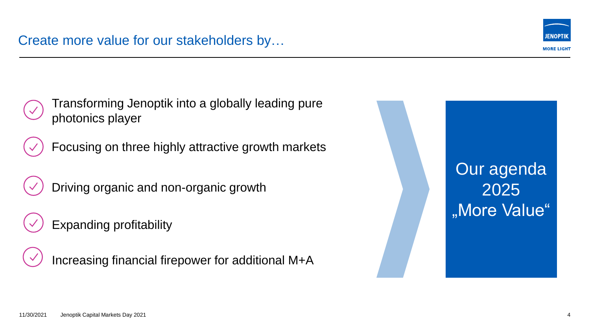

Transforming Jenoptik into a globally leading pure photonics player

Focusing on three highly attractive growth markets

Driving organic and non-organic growth

Expanding profitability

Increasing financial firepower for additional M+A

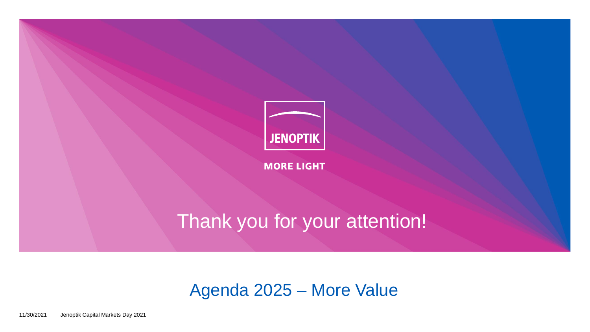

**MORE LIGHT** 

## Thank you for your attention!

### Agenda 2025 – More Value